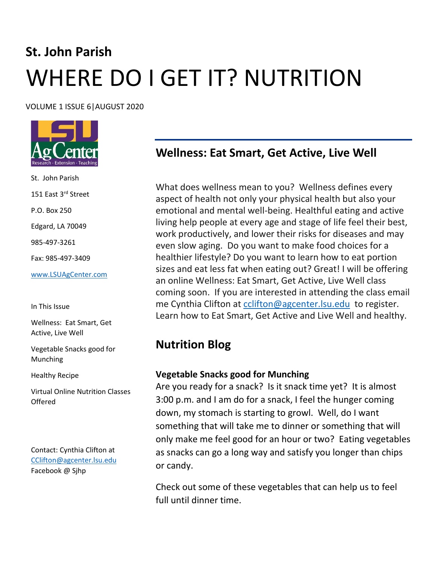# **St. John Parish** WHERE DO I GET IT? NUTRITION

VOLUME 1 ISSUE 6|AUGUST 2020



St. John Parish 151 East 3rd Street P.O. Box 250 Edgard, LA 70049 985-497-3261 Fax: 985-497-3409 [www.LSUAgCenter.com](http://www.lsuagcenter.com/)

In This Issue

Wellness: Eat Smart, Get Active, Live Well

Vegetable Snacks good for Munching

Healthy Recipe

Virtual Online Nutrition Classes Offered

Contact: Cynthia Clifton at [CClifton@agcenter.lsu.edu](mailto:CClifton@agcenter.lsu.edu)  Facebook @ Sjhp

## **Wellness: Eat Smart, Get Active, Live Well**

What does wellness mean to you? Wellness defines every aspect of health not only your physical health but also your emotional and mental well-being. Healthful eating and active living help people at every age and stage of life feel their best, work productively, and lower their risks for diseases and may even slow aging. Do you want to make food choices for a healthier lifestyle? Do you want to learn how to eat portion sizes and eat less fat when eating out? Great! I will be offering an online Wellness: Eat Smart, Get Active, Live Well class coming soon. If you are interested in attending the class email me Cynthia Clifton at [cclifton@agcenter.lsu.edu](mailto:cclifton@agcenter.lsu.edu) to register. Learn how to Eat Smart, Get Active and Live Well and healthy.

### **Nutrition Blog**

#### **Vegetable Snacks good for Munching**

Are you ready for a snack? Is it snack time yet? It is almost 3:00 p.m. and I am do for a snack, I feel the hunger coming down, my stomach is starting to growl. Well, do I want something that will take me to dinner or something that will only make me feel good for an hour or two? Eating vegetables as snacks can go a long way and satisfy you longer than chips or candy.

Check out some of these vegetables that can help us to feel full until dinner time.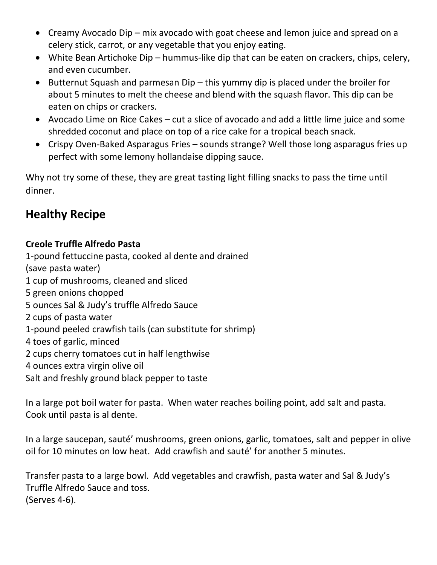- Creamy Avocado Dip mix avocado with goat cheese and lemon juice and spread on a celery stick, carrot, or any vegetable that you enjoy eating.
- White Bean Artichoke Dip hummus-like dip that can be eaten on crackers, chips, celery, and even cucumber.
- Butternut Squash and parmesan Dip this yummy dip is placed under the broiler for about 5 minutes to melt the cheese and blend with the squash flavor. This dip can be eaten on chips or crackers.
- Avocado Lime on Rice Cakes cut a slice of avocado and add a little lime juice and some shredded coconut and place on top of a rice cake for a tropical beach snack.
- Crispy Oven-Baked Asparagus Fries sounds strange? Well those long asparagus fries up perfect with some lemony hollandaise dipping sauce.

Why not try some of these, they are great tasting light filling snacks to pass the time until dinner.

## **Healthy Recipe**

#### **Creole Truffle Alfredo Pasta**

1-pound fettuccine pasta, cooked al dente and drained (save pasta water) 1 cup of mushrooms, cleaned and sliced 5 green onions chopped 5 ounces Sal & Judy's truffle Alfredo Sauce 2 cups of pasta water 1-pound peeled crawfish tails (can substitute for shrimp) 4 toes of garlic, minced 2 cups cherry tomatoes cut in half lengthwise 4 ounces extra virgin olive oil Salt and freshly ground black pepper to taste

In a large pot boil water for pasta. When water reaches boiling point, add salt and pasta. Cook until pasta is al dente.

In a large saucepan, sauté' mushrooms, green onions, garlic, tomatoes, salt and pepper in olive oil for 10 minutes on low heat. Add crawfish and sauté' for another 5 minutes.

Transfer pasta to a large bowl. Add vegetables and crawfish, pasta water and Sal & Judy's Truffle Alfredo Sauce and toss. (Serves 4-6).